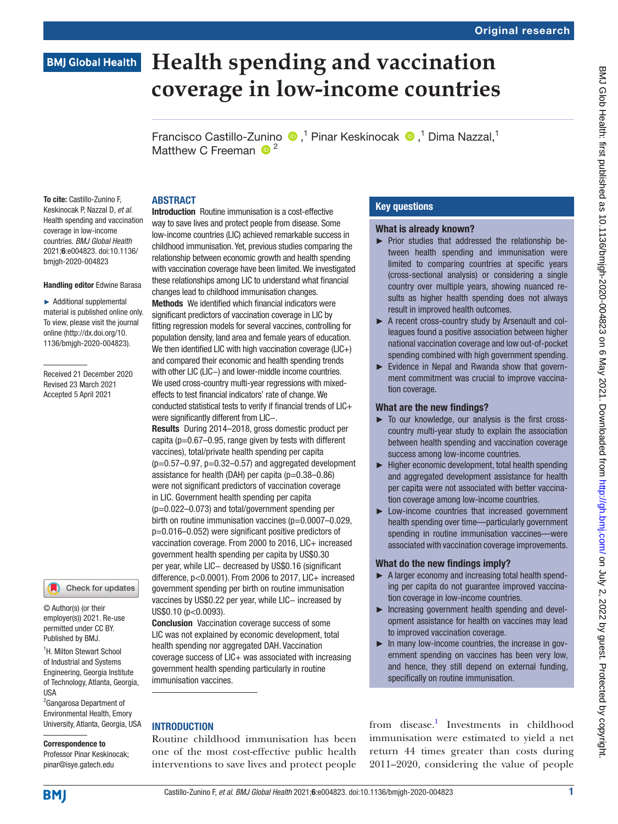# **Health spending and vaccination BMJ Global Health coverage in low-income countries**

FranciscoCastillo-Zunino (D,<sup>1</sup> Pinar Keskinocak (D,<sup>1</sup> Dima Nazzal,<sup>1</sup> Matthew C Freeman  $\bullet^2$ 

To cite: Castillo-Zunino F, Keskinocak P, Nazzal D, *et al*. Health spending and vaccination coverage in low-income countries. *BMJ Global Health* 2021;6:e004823. doi:10.1136/ bmjgh-2020-004823

#### Handling editor Edwine Barasa

► Additional supplemental material is published online only. To view, please visit the journal online (http://dx.doi.org/10. 1136/bmjgh-2020-004823).

Received 21 December 2020 Revised 23 March 2021 Accepted 5 April 2021



© Author(s) (or their employer(s)) 2021. Re-use permitted under CC BY. Published by BMJ.

<sup>1</sup>H. Milton Stewart School of Industrial and Systems Engineering, Georgia Institute of Technology, Atlanta, Georgia, USA

<sup>2</sup>Gangarosa Department of Environmental Health, Emory University, Atlanta, Georgia, USA

# Correspondence to

Professor Pinar Keskinocak; pinar@isye.gatech.edu

## ABSTRACT

Introduction Routine immunisation is a cost-effective way to save lives and protect people from disease. Some low-income countries (LIC) achieved remarkable success in childhood immunisation. Yet, previous studies comparing the relationship between economic growth and health spending with vaccination coverage have been limited. We investigated these relationships among LIC to understand what financial changes lead to childhood immunisation changes.

Methods We identified which financial indicators were significant predictors of vaccination coverage in LIC by fitting regression models for several vaccines, controlling for population density, land area and female years of education. We then identified LIC with high vaccination coverage  $(L|C+)$ and compared their economic and health spending trends with other LIC (LIC−) and lower-middle income countries. We used cross-country multi-year regressions with mixedeffects to test financial indicators' rate of change. We conducted statistical tests to verify if financial trends of LIC+ were significantly different from LIC−.

Results During 2014–2018, gross domestic product per capita ( $p=0.67-0.95$ , range given by tests with different vaccines), total/private health spending per capita  $(p=0.57-0.97, p=0.32-0.57)$  and aggregated development assistance for health (DAH) per capita ( $p=0.38-0.86$ ) were not significant predictors of vaccination coverage in LIC. Government health spending per capita (p=0.022–0.073) and total/government spending per birth on routine immunisation vaccines (p=0.0007-0.029, p=0.016–0.052) were significant positive predictors of vaccination coverage. From 2000 to 2016, LIC+ increased government health spending per capita by US\$0.30 per year, while LIC− decreased by US\$0.16 (significant difference, p<0.0001). From 2006 to 2017, LIC+ increased government spending per birth on routine immunisation vaccines by US\$0.22 per year, while LIC- increased by US\$0.10 (p<0.0093).

Conclusion Vaccination coverage success of some LIC was not explained by economic development, total health spending nor aggregated DAH. Vaccination coverage success of LIC+ was associated with increasing government health spending particularly in routine immunisation vaccines.

#### **INTRODUCTION**

Routine childhood immunisation has been one of the most cost-effective public health interventions to save lives and protect people

### Key questions

#### What is already known?

- ► Prior studies that addressed the relationship between health spending and immunisation were limited to comparing countries at specific years (cross-sectional analysis) or considering a single country over multiple years, showing nuanced results as higher health spending does not always result in improved health outcomes.
- ► A recent cross-country study by Arsenault and colleagues found a positive association between higher national vaccination coverage and low out-of-pocket spending combined with high government spending.
- ► Evidence in Nepal and Rwanda show that government commitment was crucial to improve vaccination coverage.

#### What are the new findings?

- ► To our knowledge, our analysis is the first crosscountry multi-year study to explain the association between health spending and vaccination coverage success among low-income countries.
- ► Higher economic development, total health spending and aggregated development assistance for health per capita were not associated with better vaccination coverage among low-income countries.
- ► Low-income countries that increased government health spending over time—particularly government spending in routine immunisation vaccines—were associated with vaccination coverage improvements.

#### What do the new findings imply?

- ► A larger economy and increasing total health spending per capita do not guarantee improved vaccination coverage in low-income countries.
- ► Increasing government health spending and development assistance for health on vaccines may lead to improved vaccination coverage.
- ► In many low-income countries, the increase in government spending on vaccines has been very low, and hence, they still depend on external funding, specifically on routine immunisation.

from disease.<sup>1</sup> Investments in childhood immunisation were estimated to yield a net return 44 times greater than costs during 2011–2020, considering the value of people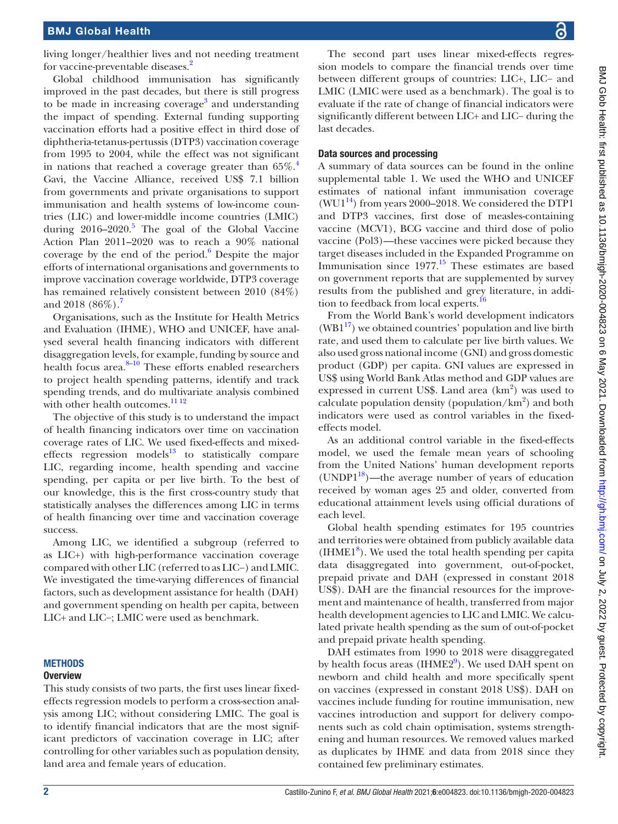living longer/healthier lives and not needing treatment for vaccine-preventable diseases.<sup>[2](#page-7-1)</sup>

Global childhood immunisation has significantly improved in the past decades, but there is still progress to be made in increasing coverage<sup>[3](#page-7-2)</sup> and understanding the impact of spending. External funding supporting vaccination efforts had a positive effect in third dose of diphtheria-tetanus-pertussis (DTP3) vaccination coverage from 1995 to 2004, while the effect was not significant in nations that reached a coverage greater than  $65\%$ <sup>[4](#page-7-3)</sup> Gavi, the Vaccine Alliance, received US\$ 7.1 billion from governments and private organisations to support immunisation and health systems of low-income countries (LIC) and lower-middle income countries (LMIC) during  $2016-2020$ .<sup>[5](#page-7-4)</sup> The goal of the Global Vaccine Action Plan 2011–2020 was to reach a 90% national coverage by the end of the period. $6$  Despite the major efforts of international organisations and governments to improve vaccination coverage worldwide, DTP3 coverage has remained relatively consistent between 2010 (84%) and 2018  $(86\%)$ .

Organisations, such as the Institute for Health Metrics and Evaluation (IHME), WHO and UNICEF, have analysed several health financing indicators with different disaggregation levels, for example, funding by source and health focus area.<sup>8-10</sup> These efforts enabled researchers to project health spending patterns, identify and track spending trends, and do multivariate analysis combined with other health outcomes.<sup>11 12</sup>

The objective of this study is to understand the impact of health financing indicators over time on vaccination coverage rates of LIC. We used fixed-effects and mixedeffects regression models $13$  to statistically compare LIC, regarding income, health spending and vaccine spending, per capita or per live birth. To the best of our knowledge, this is the first cross-country study that statistically analyses the differences among LIC in terms of health financing over time and vaccination coverage success.

Among LIC, we identified a subgroup (referred to as LIC+) with high-performance vaccination coverage compared with other LIC (referred to as LIC−) and LMIC. We investigated the time-varying differences of financial factors, such as development assistance for health (DAH) and government spending on health per capita, between LIC+ and LIC−; LMIC were used as benchmark.

#### **METHODS**

#### **Overview**

This study consists of two parts, the first uses linear fixedeffects regression models to perform a cross-section analysis among LIC; without considering LMIC. The goal is to identify financial indicators that are the most significant predictors of vaccination coverage in LIC; after controlling for other variables such as population density, land area and female years of education.

The second part uses linear mixed-effects regression models to compare the financial trends over time between different groups of countries: LIC+, LIC− and LMIC (LMIC were used as a benchmark). The goal is to evaluate if the rate of change of financial indicators were significantly different between LIC+ and LIC− during the last decades.

#### Data sources and processing

A summary of data sources can be found in the [online](https://dx.doi.org/10.1136/bmjgh-2020-004823) [supplemental table 1](https://dx.doi.org/10.1136/bmjgh-2020-004823). We used the WHO and UNICEF estimates of national infant immunisation coverage (WU1<sup>14</sup>) from years 2000–2018. We considered the DTP1 and DTP3 vaccines, first dose of measles-containing vaccine (MCV1), BCG vaccine and third dose of polio vaccine (Pol3)—these vaccines were picked because they target diseases included in the Expanded Programme on Immunisation since  $1977<sup>15</sup>$  These estimates are based on government reports that are supplemented by survey results from the published and grey literature, in addi-tion to feedback from local experts.<sup>[16](#page-7-12)</sup>

From the World Bank's world development indicators  $(WB1<sup>17</sup>)$  we obtained countries' population and live birth rate, and used them to calculate per live birth values. We also used gross national income (GNI) and gross domestic product (GDP) per capita. GNI values are expressed in US\$ using World Bank Atlas method and GDP values are expressed in current US\$. Land area  $(km^2)$  was used to calculate population density (population/ $km^2$ ) and both indicators were used as control variables in the fixedeffects model.

As an additional control variable in the fixed-effects model, we used the female mean years of schooling from the United Nations' human development reports  $(UNDP1^{18})$ —the average number of years of education received by woman ages 25 and older, converted from educational attainment levels using official durations of each level.

Global health spending estimates for 195 countries and territories were obtained from publicly available data  $(HME1<sup>8</sup>)$ . We used the total health spending per capita data disaggregated into government, out-of-pocket, prepaid private and DAH (expressed in constant 2018 US\$). DAH are the financial resources for the improvement and maintenance of health, transferred from major health development agencies to LIC and LMIC. We calculated private health spending as the sum of out-of-pocket and prepaid private health spending.

DAH estimates from 1990 to 2018 were disaggregated by health focus areas (IHME2<sup>[9](#page-7-15)</sup>). We used DAH spent on newborn and child health and more specifically spent on vaccines (expressed in constant 2018 US\$). DAH on vaccines include funding for routine immunisation, new vaccines introduction and support for delivery components such as cold chain optimisation, systems strengthening and human resources. We removed values marked as duplicates by IHME and data from 2018 since they contained few preliminary estimates.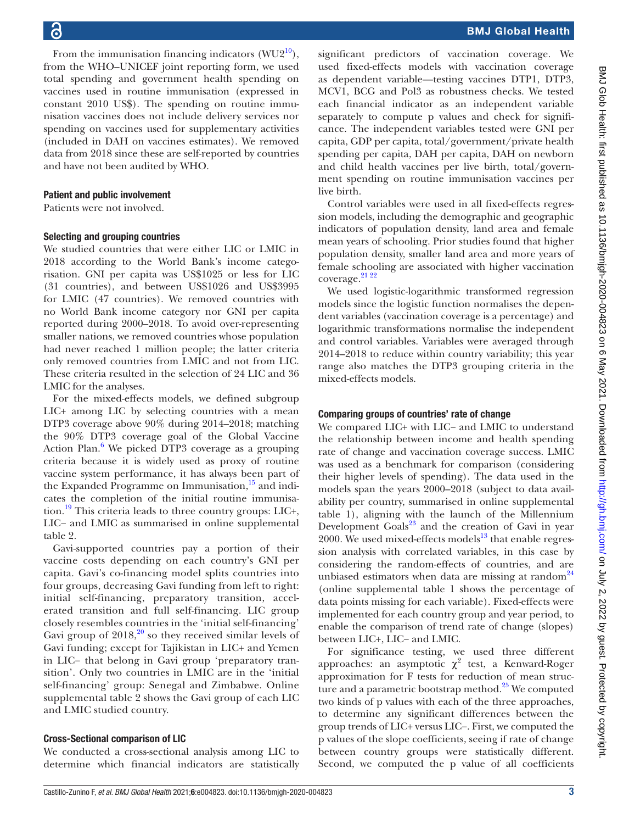From the immunisation financing indicators  $(WU2^{10})$ , from the WHO–UNICEF joint reporting form, we used total spending and government health spending on vaccines used in routine immunisation (expressed in constant 2010 US\$). The spending on routine immunisation vaccines does not include delivery services nor spending on vaccines used for supplementary activities (included in DAH on vaccines estimates). We removed data from 2018 since these are self-reported by countries and have not been audited by WHO.

#### Patient and public involvement

Patients were not involved.

#### Selecting and grouping countries

We studied countries that were either LIC or LMIC in 2018 according to the World Bank's income categorisation. GNI per capita was US\$1025 or less for LIC (31 countries), and between US\$1026 and US\$3995 for LMIC (47 countries). We removed countries with no World Bank income category nor GNI per capita reported during 2000–2018. To avoid over-representing smaller nations, we removed countries whose population had never reached 1 million people; the latter criteria only removed countries from LMIC and not from LIC. These criteria resulted in the selection of 24 LIC and 36 LMIC for the analyses.

For the mixed-effects models, we defined subgroup LIC+ among LIC by selecting countries with a mean DTP3 coverage above 90% during 2014–2018; matching the 90% DTP3 coverage goal of the Global Vaccine Action Plan.<sup>[6](#page-7-5)</sup> We picked DTP3 coverage as a grouping criteria because it is widely used as proxy of routine vaccine system performance, it has always been part of the Expanded Programme on Immunisation, $15$  and indicates the completion of the initial routine immunisation.[19](#page-7-17) This criteria leads to three country groups: LIC+, LIC− and LMIC as summarised in [online supplemental](https://dx.doi.org/10.1136/bmjgh-2020-004823) [table 2](https://dx.doi.org/10.1136/bmjgh-2020-004823).

Gavi-supported countries pay a portion of their vaccine costs depending on each country's GNI per capita. Gavi's co-financing model splits countries into four groups, decreasing Gavi funding from left to right: initial self-financing, preparatory transition, accelerated transition and full self-financing. LIC group closely resembles countries in the 'initial self-financing' Gavi group of  $2018<sup>20</sup>$  $2018<sup>20</sup>$  so they received similar levels of Gavi funding; except for Tajikistan in LIC+ and Yemen in LIC− that belong in Gavi group 'preparatory transition'. Only two countries in LMIC are in the 'initial self-financing' group: Senegal and Zimbabwe. [Online](https://dx.doi.org/10.1136/bmjgh-2020-004823) [supplemental table 2](https://dx.doi.org/10.1136/bmjgh-2020-004823) shows the Gavi group of each LIC and LMIC studied country.

#### Cross-Sectional comparison of LIC

We conducted a cross-sectional analysis among LIC to determine which financial indicators are statistically

significant predictors of vaccination coverage. We used fixed-effects models with vaccination coverage as dependent variable—testing vaccines DTP1, DTP3, MCV1, BCG and Pol3 as robustness checks. We tested each financial indicator as an independent variable separately to compute p values and check for significance. The independent variables tested were GNI per capita, GDP per capita, total/government/private health spending per capita, DAH per capita, DAH on newborn and child health vaccines per live birth, total/government spending on routine immunisation vaccines per live birth.

Control variables were used in all fixed-effects regression models, including the demographic and geographic indicators of population density, land area and female mean years of schooling. Prior studies found that higher population density, smaller land area and more years of female schooling are associated with higher vaccination coverage.<sup>21</sup> <sup>22</sup>

We used logistic-logarithmic transformed regression models since the logistic function normalises the dependent variables (vaccination coverage is a percentage) and logarithmic transformations normalise the independent and control variables. Variables were averaged through 2014–2018 to reduce within country variability; this year range also matches the DTP3 grouping criteria in the mixed-effects models.

#### Comparing groups of countries' rate of change

We compared LIC+ with LIC− and LMIC to understand the relationship between income and health spending rate of change and vaccination coverage success. LMIC was used as a benchmark for comparison (considering their higher levels of spending). The data used in the models span the years 2000–2018 (subject to data availability per country, summarised in [online supplemental](https://dx.doi.org/10.1136/bmjgh-2020-004823) [table 1\)](https://dx.doi.org/10.1136/bmjgh-2020-004823), aligning with the launch of the Millennium Development Goals $^{23}$  and the creation of Gavi in year 2000. We used mixed-effects models $^{13}$  $^{13}$  $^{13}$  that enable regression analysis with correlated variables, in this case by considering the random-effects of countries, and are unbiased estimators when data are missing at random<sup>24</sup> [\(online supplemental table 1](https://dx.doi.org/10.1136/bmjgh-2020-004823) shows the percentage of data points missing for each variable). Fixed-effects were implemented for each country group and year period, to enable the comparison of trend rate of change (slopes) between LIC+, LIC− and LMIC.

For significance testing, we used three different approaches: an asymptotic  $\chi^2$  test, a Kenward-Roger approximation for F tests for reduction of mean structure and a parametric bootstrap method. $25$  We computed two kinds of p values with each of the three approaches, to determine any significant differences between the group trends of LIC+ versus LIC−. First, we computed the p values of the slope coefficients, seeing if rate of change between country groups were statistically different. Second, we computed the p value of all coefficients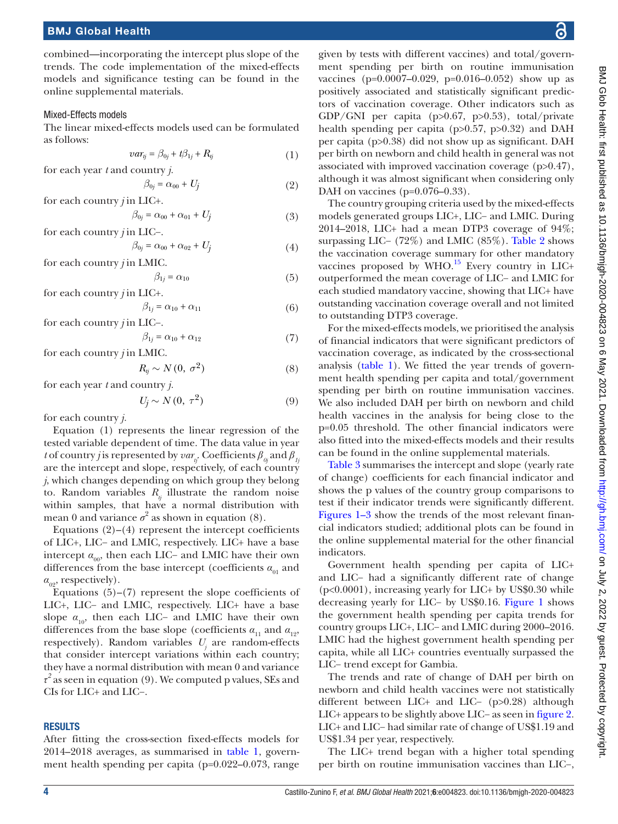combined—incorporating the intercept plus slope of the trends. The code implementation of the mixed-effects models and significance testing can be found in the [online supplemental materials](https://dx.doi.org/10.1136/bmjgh-2020-004823).

#### Mixed-Effects models

The linear mixed-effects models used can be formulated as follows:

$$
var_{ij} = \beta_{0j} + t\beta_{1j} + R_{ij}
$$
 (1)

for each year *t* and country *j.*

$$
\beta_{0j} = \alpha_{00} + U_j \tag{2}
$$

for each country *j* in LIC+.\n
$$
\beta_{0j} = \alpha_{00} + \alpha_{01} + U_j \tag{3}
$$

for each country *j* in LIC−.

$$
\beta_{0j} = \alpha_{00} + \alpha_{02} + U_j \tag{4}
$$

for each country *j* in LMIC.

$$
\beta_{1j} = \alpha_{10} \tag{5}
$$

for each country *j* in LIC+.

$$
\beta_{1j} = \alpha_{10} + \alpha_{11} \tag{6}
$$

for each country *j* in LIC−.

$$
\beta_{1j} = \alpha_{10} + \alpha_{12} \tag{7}
$$

for each country *j* in LMIC.

$$
R_{ij} \sim N(0, \sigma^2) \tag{8}
$$

for each year *t* and country *j.*

$$
U_j \sim N(0, \tau^2) \tag{9}
$$

for each country *j.*

Equation (1) represents the linear regression of the tested variable dependent of time. The data value in year *t* of country *j* is represented by  $var_{n}$ . Coefficients  $\beta_{0i}$  and  $\beta_{1i}$ are the intercept and slope, respectively, of each country *j*, which changes depending on which group they belong to. Random variables  $R_i$  illustrate the random noise within samples, that have a normal distribution with mean 0 and variance  $\sigma^2$  as shown in equation (8).

Equations  $(2)$ – $(4)$  represent the intercept coefficients of LIC+, LIC− and LMIC, respectively. LIC+ have a base intercept  $\alpha_{00}$ , then each LIC− and LMIC have their own differences from the base intercept (coefficients  $\alpha_{01}$  and *α*<sub>09</sub>, respectively).

Equations  $(5)-(7)$  represent the slope coefficients of LIC+, LIC− and LMIC, respectively. LIC+ have a base slope  $\alpha_{10}$ , then each LIC− and LMIC have their own differences from the base slope (coefficients  $a_{11}$  and  $a_{12}$ , respectively). Random variables *Uj* are random-effects that consider intercept variations within each country; they have a normal distribution with mean 0 and variance *τ 2* as seen in equation (9). We computed p values, SEs and CIs for LIC+ and LIC−.

#### **RESULTS**

After fitting the cross-section fixed-effects models for 2014–2018 averages, as summarised in [table](#page-4-0) 1, government health spending per capita (p=0.022–0.073, range

given by tests with different vaccines) and total/government spending per birth on routine immunisation vaccines (p=0.0007–0.029, p=0.016–0.052) show up as positively associated and statistically significant predictors of vaccination coverage. Other indicators such as GDP/GNI per capita (p>0.67, p>0.53), total/private health spending per capita (p>0.57, p>0.32) and DAH per capita (p>0.38) did not show up as significant. DAH per birth on newborn and child health in general was not associated with improved vaccination coverage (p>0.47), although it was almost significant when considering only DAH on vaccines (p=0.076–0.33).

The country grouping criteria used by the mixed-effects models generated groups LIC+, LIC− and LMIC. During 2014–2018, LIC+ had a mean DTP3 coverage of 94%; surpassing LIC− (72%) and LMIC (85%). [Table](#page-4-1) 2 shows the vaccination coverage summary for other mandatory vaccines proposed by  $WHO$ .<sup>[15](#page-7-11)</sup> Every country in LIC+ outperformed the mean coverage of LIC− and LMIC for each studied mandatory vaccine, showing that LIC+ have outstanding vaccination coverage overall and not limited to outstanding DTP3 coverage.

For the mixed-effects models, we prioritised the analysis of financial indicators that were significant predictors of vaccination coverage, as indicated by the cross-sectional analysis [\(table](#page-4-0) 1). We fitted the year trends of government health spending per capita and total/government spending per birth on routine immunisation vaccines. We also included DAH per birth on newborn and child health vaccines in the analysis for being close to the p=0.05 threshold. The other financial indicators were also fitted into the mixed-effects models and their results can be found in the [online supplemental materials.](https://dx.doi.org/10.1136/bmjgh-2020-004823)

[Table](#page-5-0) 3 summarises the intercept and slope (yearly rate of change) coefficients for each financial indicator and shows the p values of the country group comparisons to test if their indicator trends were significantly different. [Figures](#page-6-0) 1–3 show the trends of the most relevant financial indicators studied; additional plots can be found in the [online supplemental material](https://dx.doi.org/10.1136/bmjgh-2020-004823) for the other financial indicators.

Government health spending per capita of LIC+ and LIC− had a significantly different rate of change (p<0.0001), increasing yearly for LIC+ by US\$0.30 while decreasing yearly for LIC− by US\$0.16. [Figure](#page-6-0) 1 shows the government health spending per capita trends for country groups LIC+, LIC− and LMIC during 2000–2016. LMIC had the highest government health spending per capita, while all LIC+ countries eventually surpassed the LIC− trend except for Gambia.

The trends and rate of change of DAH per birth on newborn and child health vaccines were not statistically different between LIC+ and LIC− (p>0.28) although LIC+ appears to be slightly above LIC− as seen in [figure](#page-6-1) 2. LIC+ and LIC− had similar rate of change of US\$1.19 and US\$1.34 per year, respectively.

The LIC+ trend began with a higher total spending per birth on routine immunisation vaccines than LIC−,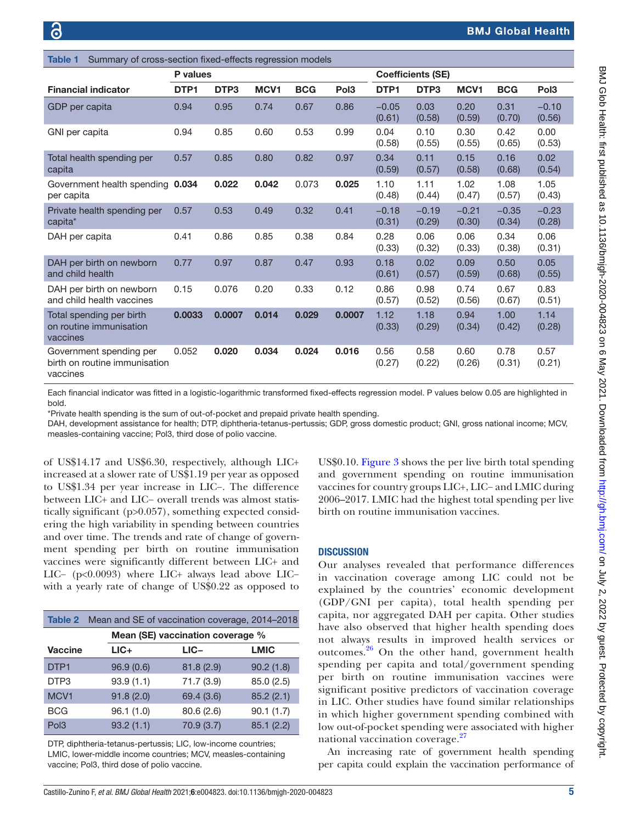<span id="page-4-0"></span>

| Summary of cross-section fixed-effects regression models<br><b>Table 1</b> |          |                  |       |            |                  |                   |                          |                   |                   |                   |
|----------------------------------------------------------------------------|----------|------------------|-------|------------|------------------|-------------------|--------------------------|-------------------|-------------------|-------------------|
|                                                                            | P values |                  |       |            |                  |                   | <b>Coefficients (SE)</b> |                   |                   |                   |
| <b>Financial indicator</b>                                                 | DTP1     | DTP <sub>3</sub> | MCV1  | <b>BCG</b> | Pol <sub>3</sub> | DTP1              | DTP <sub>3</sub>         | MCV <sub>1</sub>  | <b>BCG</b>        | Pol <sub>3</sub>  |
| GDP per capita                                                             | 0.94     | 0.95             | 0.74  | 0.67       | 0.86             | $-0.05$<br>(0.61) | 0.03<br>(0.58)           | 0.20<br>(0.59)    | 0.31<br>(0.70)    | $-0.10$<br>(0.56) |
| GNI per capita                                                             | 0.94     | 0.85             | 0.60  | 0.53       | 0.99             | 0.04<br>(0.58)    | 0.10<br>(0.55)           | 0.30<br>(0.55)    | 0.42<br>(0.65)    | 0.00<br>(0.53)    |
| Total health spending per<br>capita                                        | 0.57     | 0.85             | 0.80  | 0.82       | 0.97             | 0.34<br>(0.59)    | 0.11<br>(0.57)           | 0.15<br>(0.58)    | 0.16<br>(0.68)    | 0.02<br>(0.54)    |
| Government health spending 0.034<br>per capita                             |          | 0.022            | 0.042 | 0.073      | 0.025            | 1.10<br>(0.48)    | 1.11<br>(0.44)           | 1.02<br>(0.47)    | 1.08<br>(0.57)    | 1.05<br>(0.43)    |
| Private health spending per<br>capita*                                     | 0.57     | 0.53             | 0.49  | 0.32       | 0.41             | $-0.18$<br>(0.31) | $-0.19$<br>(0.29)        | $-0.21$<br>(0.30) | $-0.35$<br>(0.34) | $-0.23$<br>(0.28) |
| DAH per capita                                                             | 0.41     | 0.86             | 0.85  | 0.38       | 0.84             | 0.28<br>(0.33)    | 0.06<br>(0.32)           | 0.06<br>(0.33)    | 0.34<br>(0.38)    | 0.06<br>(0.31)    |
| DAH per birth on newborn<br>and child health                               | 0.77     | 0.97             | 0.87  | 0.47       | 0.93             | 0.18<br>(0.61)    | 0.02<br>(0.57)           | 0.09<br>(0.59)    | 0.50<br>(0.68)    | 0.05<br>(0.55)    |
| DAH per birth on newborn<br>and child health vaccines                      | 0.15     | 0.076            | 0.20  | 0.33       | 0.12             | 0.86<br>(0.57)    | 0.98<br>(0.52)           | 0.74<br>(0.56)    | 0.67<br>(0.67)    | 0.83<br>(0.51)    |
| Total spending per birth<br>on routine immunisation<br>vaccines            | 0.0033   | 0.0007           | 0.014 | 0.029      | 0.0007           | 1.12<br>(0.33)    | 1.18<br>(0.29)           | 0.94<br>(0.34)    | 1.00<br>(0.42)    | 1.14<br>(0.28)    |
| Government spending per<br>birth on routine immunisation<br>vaccines       | 0.052    | 0.020            | 0.034 | 0.024      | 0.016            | 0.56<br>(0.27)    | 0.58<br>(0.22)           | 0.60<br>(0.26)    | 0.78<br>(0.31)    | 0.57<br>(0.21)    |

Each financial indicator was fitted in a logistic-logarithmic transformed fixed-effects regression model. P values below 0.05 are highlighted in bold.

\*Private health spending is the sum of out-of-pocket and prepaid private health spending.

DAH, development assistance for health; DTP, diphtheria-tetanus-pertussis; GDP, gross domestic product; GNI, gross national income; MCV, measles-containing vaccine; Pol3, third dose of polio vaccine.

of US\$14.17 and US\$6.30, respectively, although LIC+ increased at a slower rate of US\$1.19 per year as opposed to US\$1.34 per year increase in LIC−. The difference between LIC+ and LIC− overall trends was almost statistically significant (p>0.057), something expected considering the high variability in spending between countries and over time. The trends and rate of change of government spending per birth on routine immunisation vaccines were significantly different between LIC+ and LIC− (p<0.0093) where LIC+ always lead above LIC− with a yearly rate of change of US\$0.22 as opposed to

<span id="page-4-1"></span>

|                  | <b>Table 2</b> Mean and SE of vaccination coverage, 2014–2018 |                                  |             |
|------------------|---------------------------------------------------------------|----------------------------------|-------------|
|                  |                                                               | Mean (SE) vaccination coverage % |             |
| <b>Vaccine</b>   | $LIC+$                                                        | $LIC -$                          | <b>LMIC</b> |
| DTP <sub>1</sub> | 96.9(0.6)                                                     | 81.8(2.9)                        | 90.2(1.8)   |
| DTP3             | 93.9(1.1)                                                     | 71.7(3.9)                        | 85.0 (2.5)  |
| MCV <sub>1</sub> | 91.8(2.0)                                                     | 69.4 (3.6)                       | 85.2(2.1)   |
| <b>BCG</b>       | 96.1(1.0)                                                     | 80.6 (2.6)                       | 90.1(1.7)   |
| Pol <sub>3</sub> | 93.2(1.1)                                                     | 70.9 (3.7)                       | 85.1(2.2)   |

DTP, diphtheria-tetanus-pertussis; LIC, low-income countries; LMIC, lower-middle income countries; MCV, measles-containing vaccine; Pol3, third dose of polio vaccine.

US\$0.10. [Figure](#page-6-2) 3 shows the per live birth total spending and government spending on routine immunisation vaccines for country groups LIC+, LIC− and LMIC during 2006–2017. LMIC had the highest total spending per live birth on routine immunisation vaccines.

#### **DISCUSSION**

Our analyses revealed that performance differences in vaccination coverage among LIC could not be explained by the countries' economic development (GDP/GNI per capita), total health spending per capita, nor aggregated DAH per capita. Other studies have also observed that higher health spending does not always results in improved health services or outcomes.[26](#page-8-3) On the other hand, government health spending per capita and total/government spending per birth on routine immunisation vaccines were significant positive predictors of vaccination coverage in LIC. Other studies have found similar relationships in which higher government spending combined with low out-of-pocket spending were associated with higher national vaccination coverage.<sup>[27](#page-8-4)</sup>

An increasing rate of government health spending per capita could explain the vaccination performance of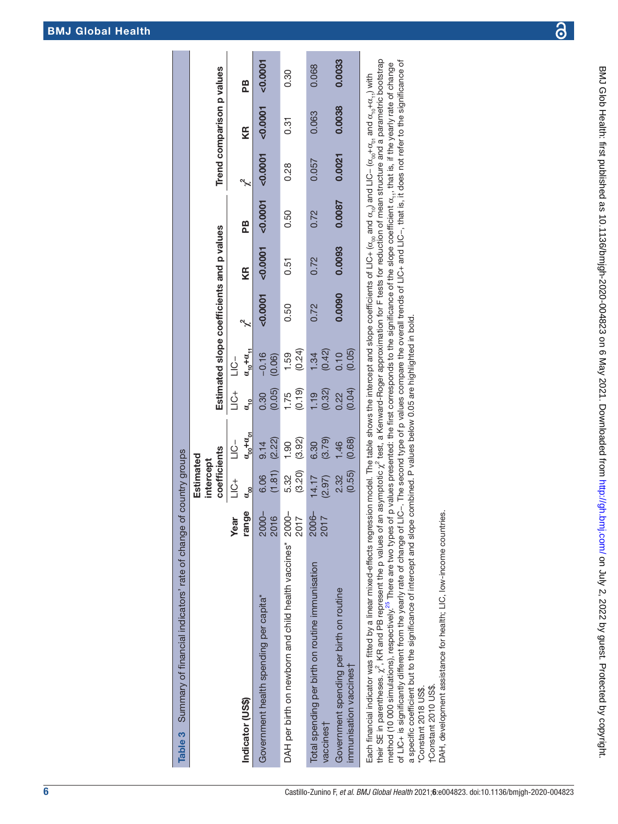| j                        |  |
|--------------------------|--|
|                          |  |
|                          |  |
|                          |  |
| ļ                        |  |
|                          |  |
| $\frac{1}{2}$            |  |
|                          |  |
| $\vdots$                 |  |
| ;<br>;<br>;              |  |
|                          |  |
|                          |  |
|                          |  |
| こところ                     |  |
|                          |  |
|                          |  |
| ŗ                        |  |
|                          |  |
| $\frac{1}{2}$            |  |
| - 1<br>- 1<br>- - - - -  |  |
| )<br>)<br>-              |  |
| J                        |  |
| <br> <br> <br> <br> <br> |  |
|                          |  |
|                          |  |
| ١                        |  |
|                          |  |
|                          |  |
|                          |  |
| Ē<br>h.bmj.              |  |
|                          |  |
|                          |  |
|                          |  |
|                          |  |
| ı                        |  |
| I                        |  |
| ı                        |  |
|                          |  |
| י<br>י<br>l              |  |
|                          |  |
| I<br>l                   |  |
|                          |  |
|                          |  |
|                          |  |
|                          |  |
| I                        |  |
| ١                        |  |
|                          |  |

| Table 3 Summary of financial indicators' rate of change of country groups                                                                                                                                                                                       |               |                        |                          |                |                   |                                           |        |        |        |                           |        |
|-----------------------------------------------------------------------------------------------------------------------------------------------------------------------------------------------------------------------------------------------------------------|---------------|------------------------|--------------------------|----------------|-------------------|-------------------------------------------|--------|--------|--------|---------------------------|--------|
|                                                                                                                                                                                                                                                                 |               | Estimated<br>intercept |                          |                |                   |                                           |        |        |        |                           |        |
|                                                                                                                                                                                                                                                                 |               | coefficients           |                          |                |                   | Estimated slope coefficients and p values |        |        |        | Trend comparison p values |        |
|                                                                                                                                                                                                                                                                 | <b>Year</b>   | t)L                    | $\overline{C}$           | t<br>DE        | $\frac{1}{2}$     |                                           |        |        |        |                           |        |
| Indicator (US\$)                                                                                                                                                                                                                                                | range         | ບັ                     | $a_{\rm oo}^{\rm +0.02}$ | ອີ             | $a_{10} + a_{11}$ | م<br>په                                   | KR     | 2B     |        | KR                        | æ      |
| Government health spending per capita*                                                                                                                                                                                                                          | 2000-<br>2016 | (1.81)<br>6.06         | (2.22)<br>9.14           | (0.05)<br>0.30 | $-0.16$<br>(0.06) | 0.0001                                    | 0.0001 | 0.0001 | 0.0001 | 0.0001                    | 0.0001 |
| DAH per birth on newborn and child health vaccines* 2000-                                                                                                                                                                                                       | 2017          | (3.20)<br>5.32         | (3.92)<br>1.90           | (0.19)<br>1.75 | (0.24)<br>1.59    | 0.50                                      | 0.51   | 0.50   | 0.28   | 0.31                      | 0.30   |
| Total spending per birth on routine immunisation<br>vaccines†                                                                                                                                                                                                   | 2006-<br>2017 | 14.17<br>(2.97)        | (3.79)<br>6.30           | (0.32)<br>1.19 | (0.42)<br>1.34    | 0.72                                      | 0.72   | 0.72   | 0.057  | 0.063                     | 0.068  |
| Government spending per birth on routine<br>immunisation vaccines                                                                                                                                                                                               |               | (0.55)<br>2.32         | (0.68)<br>1.46           | (0.04)<br>0.22 | (0.05)<br>0.10    | 0.0090                                    | 0.0093 | 0.0087 | 0.0021 | 0.0038                    | 0.0033 |
| Each financial indicator was fitted by a linear mixed-effects regression model. The table shows the intercept and slope coefficients of LIC+ ( $\alpha_{\rm co}$ and UC– ( $\alpha_{\rm co}$ + $\alpha_{\rm v_0}$ and $\alpha_{\rm co}+\alpha_{\rm v_1}$ ) with |               |                        |                          |                |                   |                                           |        |        |        |                           |        |

their SE in parentheses.  $\chi^2$ , KR and PB represent the p values of an asymptotic  $\chi^2$  test, a Kenward-Roger approximation for F tests for reduction of mean structure and a parametric bootstrap their SE in parentheses. χ<sup>2</sup>, KR and PB represent the p values of an asymptotic χ<sup>2</sup> test, a Kenward-Roger approximation for F tests for reduction of mean structure and a parametric bootstrap method (10 000 simulations), respectively.<sup>25</sup> There are two types of p values presented: the first corresponds to the significance of the slope coefficient  $\alpha_{i,\tau}$ , that is, if the yearly rate of change<br>of LIC+ is signi of LIC+ is significantly different from the yearly rate of change of LIC−. The second type of p values compare the overall trends of LIC+ and LIC−, that is, it does not refer to the significance of method (10 000 simulations), respectively.<sup>25</sup> There are two types of p values presented: the first corresponds to the significance of the slope coefficient  $\alpha_{1,1}$  that is, if the yearly rate of change a specific coefficient but to the significance of intercept and slope combined. P values below 0.05 are highlighted in bold.

"Constant 2018 US\$.<br>†Constant 2010 US\$. \*Constant 2018 US\$.

<span id="page-5-0"></span>†Constant 2010 US\$.

DAH, development assistance for health; LIC, low-income countries. DAH, development assistance for health; LIC, low-income countries.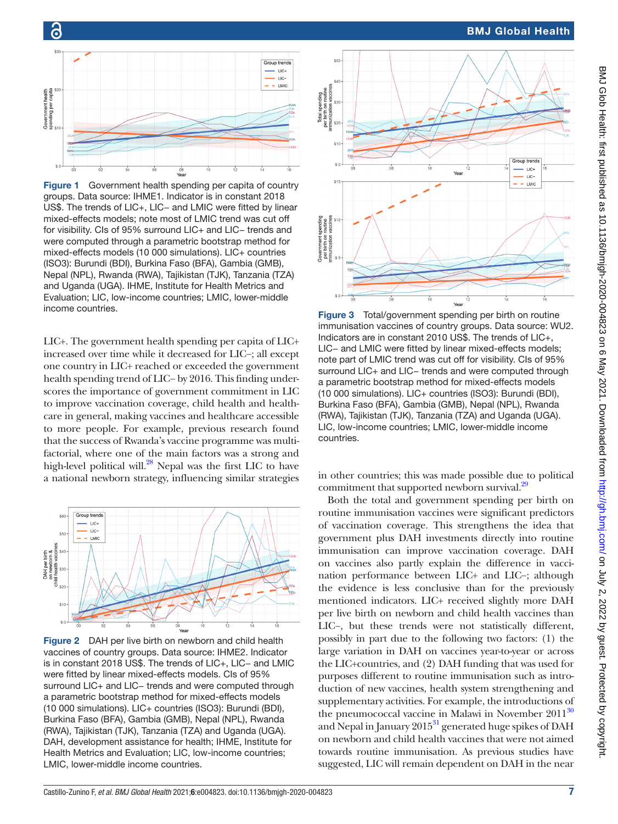



ခြ

<span id="page-6-0"></span>Figure 1 Government health spending per capita of country groups. Data source: IHME1. Indicator is in constant 2018 US\$. The trends of LIC+, LIC− and LMIC were fitted by linear mixed-effects models; note most of LMIC trend was cut off for visibility. CIs of 95% surround LIC+ and LIC− trends and were computed through a parametric bootstrap method for mixed-effects models (10 000 simulations). LIC+ countries (ISO3): Burundi (BDI), Burkina Faso (BFA), Gambia (GMB), Nepal (NPL), Rwanda (RWA), Tajikistan (TJK), Tanzania (TZA) and Uganda (UGA). IHME, Institute for Health Metrics and Evaluation; LIC, low-income countries; LMIC, lower-middle income countries.

LIC+. The government health spending per capita of LIC+ increased over time while it decreased for LIC−; all except one country in LIC+ reached or exceeded the government health spending trend of LIC− by 2016. This finding underscores the importance of government commitment in LIC to improve vaccination coverage, child health and healthcare in general, making vaccines and healthcare accessible to more people. For example, previous research found that the success of Rwanda's vaccine programme was multifactorial, where one of the main factors was a strong and high-level political will.<sup>28</sup> Nepal was the first LIC to have a national newborn strategy, influencing similar strategies in other countries; this was made possible due to political



<span id="page-6-1"></span>Figure 2 DAH per live birth on newborn and child health vaccines of country groups. Data source: IHME2. Indicator is in constant 2018 US\$. The trends of LIC+, LIC− and LMIC were fitted by linear mixed-effects models. CIs of 95% surround LIC+ and LIC− trends and were computed through a parametric bootstrap method for mixed-effects models (10 000 simulations). LIC+ countries (ISO3): Burundi (BDI), Burkina Faso (BFA), Gambia (GMB), Nepal (NPL), Rwanda (RWA), Tajikistan (TJK), Tanzania (TZA) and Uganda (UGA). DAH, development assistance for health; IHME, Institute for Health Metrics and Evaluation; LIC, low-income countries; LMIC, lower-middle income countries.



<span id="page-6-2"></span>Figure 3 Total/government spending per birth on routine immunisation vaccines of country groups. Data source: WU2. Indicators are in constant 2010 US\$. The trends of LIC+, LIC− and LMIC were fitted by linear mixed-effects models; note part of LMIC trend was cut off for visibility. CIs of 95% surround LIC+ and LIC− trends and were computed through a parametric bootstrap method for mixed-effects models (10 000 simulations). LIC+ countries (ISO3): Burundi (BDI), Burkina Faso (BFA), Gambia (GMB), Nepal (NPL), Rwanda (RWA), Tajikistan (TJK), Tanzania (TZA) and Uganda (UGA). LIC, low-income countries; LMIC, lower-middle income countries.

commitment that supported newborn survival.<sup>29</sup>

Both the total and government spending per birth on routine immunisation vaccines were significant predictors of vaccination coverage. This strengthens the idea that government plus DAH investments directly into routine immunisation can improve vaccination coverage. DAH on vaccines also partly explain the difference in vaccination performance between LIC+ and LIC−; although the evidence is less conclusive than for the previously mentioned indicators. LIC+ received slightly more DAH per live birth on newborn and child health vaccines than LIC−, but these trends were not statistically different, possibly in part due to the following two factors: (1) the large variation in DAH on vaccines year-to-year or across the LIC+countries, and (2) DAH funding that was used for purposes different to routine immunisation such as introduction of new vaccines, health system strengthening and supplementary activities. For example, the introductions of the pneumococcal vaccine in Malawi in November  $2011^{30}$ and Nepal in January  $2015<sup>31</sup>$  generated huge spikes of DAH on newborn and child health vaccines that were not aimed towards routine immunisation. As previous studies have suggested, LIC will remain dependent on DAH in the near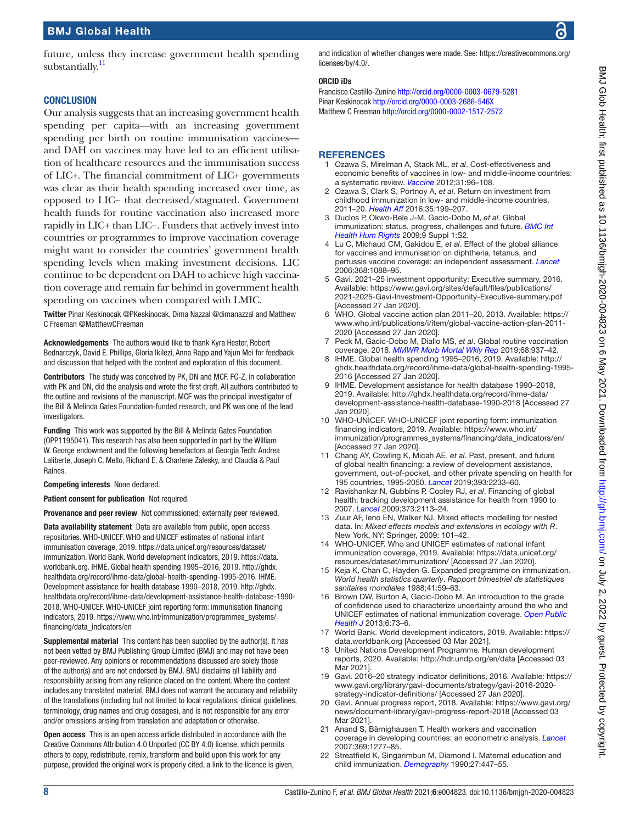future, unless they increase government health spending substantially.<sup>11</sup>

#### **CONCLUSION**

Our analysis suggests that an increasing government health spending per capita—with an increasing government spending per birth on routine immunisation vaccines and DAH on vaccines may have led to an efficient utilisation of healthcare resources and the immunisation success of LIC+. The financial commitment of LIC+ governments was clear as their health spending increased over time, as opposed to LIC− that decreased/stagnated. Government health funds for routine vaccination also increased more rapidly in LIC+ than LIC−. Funders that actively invest into countries or programmes to improve vaccination coverage might want to consider the countries' government health spending levels when making investment decisions. LIC continue to be dependent on DAH to achieve high vaccination coverage and remain far behind in government health spending on vaccines when compared with LMIC.

Twitter Pinar Keskinocak [@PKeskinocak,](https://twitter.com/PKeskinocak) Dima Nazzal [@dimanazzal](https://twitter.com/dimanazzal) and Matthew C Freeman [@MatthewCFreeman](https://twitter.com/MatthewCFreeman)

Acknowledgements The authors would like to thank Kyra Hester, Robert Bednarczyk, David E. Phillips, Gloria Ikilezi, Anna Rapp and Yajun Mei for feedback and discussion that helped with the content and exploration of this document.

Contributors The study was conceived by PK, DN and MCF. FC-Z, in collaboration with PK and DN, did the analysis and wrote the first draft. All authors contributed to the outline and revisions of the manuscript. MCF was the principal investigator of the Bill & Melinda Gates Foundation-funded research, and PK was one of the lead investigators.

Funding This work was supported by the Bill & Melinda Gates Foundation (OPP1195041). This research has also been supported in part by the William W. George endowment and the following benefactors at Georgia Tech: Andrea Laliberte, Joseph C. Mello, Richard E. & Charlene Zalesky, and Claudia & Paul Raines.

Competing interests None declared.

Patient consent for publication Not required.

Provenance and peer review Not commissioned; externally peer reviewed.

Data availability statement Data are available from public, open access repositories. WHO-UNICEF. WHO and UNICEF estimates of national infant immunisation coverage, 2019. [https://data.unicef.org/resources/dataset/](https://data.unicef.org/resources/dataset/immunization) [immunization](https://data.unicef.org/resources/dataset/immunization). World Bank. World development indicators, 2019. [https://data.](https://data.worldbank.org) [worldbank.org.](https://data.worldbank.org) IHME. Global health spending 1995–2016, 2019. [http://ghdx.](http://ghdx.healthdata.org/record/ihme-data/global-health-spending-1995-2016) [healthdata.org/record/ihme-data/global-health-spending-1995-2016.](http://ghdx.healthdata.org/record/ihme-data/global-health-spending-1995-2016) IHME. Development assistance for health database 1990–2018, 2019. [http://ghdx.](http://ghdx.healthdata.org/record/ihme-data/development-assistance-health-database-1990-2018) [healthdata.org/record/ihme-data/development-assistance-health-database-1990-](http://ghdx.healthdata.org/record/ihme-data/development-assistance-health-database-1990-2018) [2018.](http://ghdx.healthdata.org/record/ihme-data/development-assistance-health-database-1990-2018) WHO-UNICEF. WHO-UNICEF joint reporting form: immunisation financing indicators, 2019. [https://www.who.int/immunization/programmes\\_systems/](https://www.who.int/immunization/programmes_systems/financing/data_indicators/en) [financing/data\\_indicators/en](https://www.who.int/immunization/programmes_systems/financing/data_indicators/en)

Supplemental material This content has been supplied by the author(s). It has not been vetted by BMJ Publishing Group Limited (BMJ) and may not have been peer-reviewed. Any opinions or recommendations discussed are solely those of the author(s) and are not endorsed by BMJ. BMJ disclaims all liability and responsibility arising from any reliance placed on the content. Where the content includes any translated material, BMJ does not warrant the accuracy and reliability of the translations (including but not limited to local regulations, clinical guidelines, terminology, drug names and drug dosages), and is not responsible for any error and/or omissions arising from translation and adaptation or otherwise.

Open access This is an open access article distributed in accordance with the Creative Commons Attribution 4.0 Unported (CC BY 4.0) license, which permits others to copy, redistribute, remix, transform and build upon this work for any purpose, provided the original work is properly cited, a link to the licence is given, and indication of whether changes were made. See: [https://creativecommons.org/](https://creativecommons.org/licenses/by/4.0/) [licenses/by/4.0/](https://creativecommons.org/licenses/by/4.0/).

#### ORCID iDs

Francisco Castillo-Zunino<http://orcid.org/0000-0003-0679-5281> Pinar Keskinocak <http://orcid.org/0000-0003-2686-546X> Matthew C Freeman <http://orcid.org/0000-0002-1517-2572>

#### **REFERENCES**

- <span id="page-7-0"></span>1 Ozawa S, Mirelman A, Stack ML, *et al*. Cost-effectiveness and economic benefits of vaccines in low- and middle-income countries: a systematic review. *[Vaccine](http://dx.doi.org/10.1016/j.vaccine.2012.10.103)* 2012;31:96–108.
- <span id="page-7-1"></span>2 Ozawa S, Clark S, Portnoy A, *et al*. Return on investment from childhood immunization in low- and middle-income countries, 2011–20. *[Health Aff](http://dx.doi.org/10.1377/hlthaff.2015.1086)* 2016;35:199–207.
- <span id="page-7-2"></span>3 Duclos P, Okwo-Bele J-M, Gacic-Dobo M, *et al*. Global immunization: status, progress, challenges and future. *[BMC Int](http://dx.doi.org/10.1186/1472-698X-9-S1-S2)  [Health Hum Rights](http://dx.doi.org/10.1186/1472-698X-9-S1-S2)* 2009;9 Suppl 1:S2.
- <span id="page-7-3"></span>4 Lu C, Michaud CM, Gakidou E, *et al*. Effect of the global alliance for vaccines and immunisation on diphtheria, tetanus, and pertussis vaccine coverage: an independent assessment. *[Lancet](http://dx.doi.org/10.1016/S0140-6736(06)69337-9)* 2006;368:1088–95.
- <span id="page-7-4"></span>5 Gavi. 2021–25 investment opportunity: Executive summary, 2016. Available: [https://www.gavi.org/sites/default/files/publications/](https://www.gavi.org/sites/default/files/publications/2021-2025-Gavi-Investment-Opportunity-Executive-summary.pdf) [2021-2025-Gavi-Investment-Opportunity-Executive-summary.pdf](https://www.gavi.org/sites/default/files/publications/2021-2025-Gavi-Investment-Opportunity-Executive-summary.pdf)  [Accessed 27 Jan 2020].
- <span id="page-7-5"></span>6 WHO. Global vaccine action plan 2011–20, 2013. Available: [https://](https://www.who.int/publications/i/item/global-vaccine-action-plan-2011-2020) [www.who.int/publications/i/item/global-vaccine-action-plan-2011-](https://www.who.int/publications/i/item/global-vaccine-action-plan-2011-2020) [2020](https://www.who.int/publications/i/item/global-vaccine-action-plan-2011-2020) [Accessed 27 Jan 2020].
- <span id="page-7-6"></span>7 Peck M, Gacic-Dobo M, Diallo MS, *et al*. Global routine vaccination coverage, 2018. *[MMWR Morb Mortal Wkly Rep](http://dx.doi.org/10.15585/mmwr.mm6842a1)* 2019;68:937–42.
- <span id="page-7-7"></span>8 IHME. Global health spending 1995–2016, 2019. Available: [http://](http://ghdx.healthdata.org/record/ihme-data/global-health-spending-1995-2016) [ghdx.healthdata.org/record/ihme-data/global-health-spending-1995-](http://ghdx.healthdata.org/record/ihme-data/global-health-spending-1995-2016) [2016](http://ghdx.healthdata.org/record/ihme-data/global-health-spending-1995-2016) [Accessed 27 Jan 2020].
- <span id="page-7-15"></span>9 IHME. Development assistance for health database 1990–2018, 2019. Available: [http://ghdx.healthdata.org/record/ihme-data/](http://ghdx.healthdata.org/record/ihme-data/development-assistance-health-database-1990-2018) [development-assistance-health-database-1990-2018](http://ghdx.healthdata.org/record/ihme-data/development-assistance-health-database-1990-2018) [Accessed 27 Jan 2020].
- <span id="page-7-16"></span>10 WHO-UNICEF. WHO-UNICEF joint reporting form: immunization financing indicators, 2019. Available: [https://www.who.int/](https://www.who.int/immunization/programmes_systems/financing/data_indicators/en/) [immunization/programmes\\_systems/financing/data\\_indicators/en/](https://www.who.int/immunization/programmes_systems/financing/data_indicators/en/) [Accessed 27 Jan 2020].
- <span id="page-7-8"></span>11 Chang AY, Cowling K, Micah AE, *et al*. Past, present, and future of global health financing: a review of development assistance, government, out-of-pocket, and other private spending on health for 195 countries, 1995-2050. *[Lancet](http://dx.doi.org/10.1016/S0140-6736(19)30841-4)* 2019;393:2233–60.
- 12 Ravishankar N, Gubbins P, Cooley RJ, *et al*. Financing of global health: tracking development assistance for health from 1990 to 2007. *[Lancet](http://dx.doi.org/10.1016/S0140-6736(09)60881-3)* 2009;373:2113–24.
- <span id="page-7-9"></span>13 Zuur AF, Ieno EN, Walker NJ. Mixed effects modelling for nested data. In: *Mixed effects models and extensions in ecology with R*. New York, NY: Springer, 2009: 101–42.
- <span id="page-7-10"></span>14 WHO-UNICEF. Who and UNICEF estimates of national infant immunization coverage, 2019. Available: [https://data.unicef.org/](https://data.unicef.org/resources/dataset/immunization/) [resources/dataset/immunization/](https://data.unicef.org/resources/dataset/immunization/) [Accessed 27 Jan 2020].
- <span id="page-7-11"></span>15 Keja K, Chan C, Hayden G. Expanded programme on immunization. *World health statistics quarterly*. *Rapport trimestriel de statistiques sanitaires mondiales* 1988;41:59–63.
- <span id="page-7-12"></span>16 Brown DW, Burton A, Gacic-Dobo M. An introduction to the grade of confidence used to characterize uncertainty around the who and UNICEF estimates of national immunization coverage. *[Open Public](http://dx.doi.org/10.2174/1874944501306010073)  [Health J](http://dx.doi.org/10.2174/1874944501306010073)* 2013;6:73–6.
- <span id="page-7-13"></span>17 World Bank. World development indicators, 2019. Available: [https://](https://data.worldbank.org) [data.worldbank.org](https://data.worldbank.org) [Accessed 03 Mar 2021].
- <span id="page-7-14"></span>18 United Nations Development Programme. Human development reports, 2020. Available: <http://hdr.undp.org/en/data> [Accessed 03 Mar 2021].
- <span id="page-7-17"></span>19 Gavi. 2016–20 strategy indicator definitions, 2016. Available: [https://](https://www.gavi.org/library/gavi-documents/strategy/gavi-2016-2020-strategy-indicator-definitions/) [www.gavi.org/library/gavi-documents/strategy/gavi-2016-2020](https://www.gavi.org/library/gavi-documents/strategy/gavi-2016-2020-strategy-indicator-definitions/) [strategy-indicator-definitions/](https://www.gavi.org/library/gavi-documents/strategy/gavi-2016-2020-strategy-indicator-definitions/) [Accessed 27 Jan 2020].
- <span id="page-7-18"></span>20 Gavi. Annual progress report, 2018. Available: [https://www.gavi.org/](https://www.gavi.org/news/document-library/gavi-progress-report-2018) [news/document-library/gavi-progress-report-2018](https://www.gavi.org/news/document-library/gavi-progress-report-2018) [Accessed 03 Mar 2021].
- <span id="page-7-19"></span>21 Anand S, Bärnighausen T. Health workers and vaccination coverage in developing countries: an econometric analysis. *[Lancet](http://dx.doi.org/10.1016/S0140-6736(07)60599-6)* 2007;369:1277–85.
- 22 Streatfield K, Singarimbun M, Diamond I. Maternal education and child immunization. *[Demography](http://dx.doi.org/10.2307/2061378)* 1990;27:447–55.